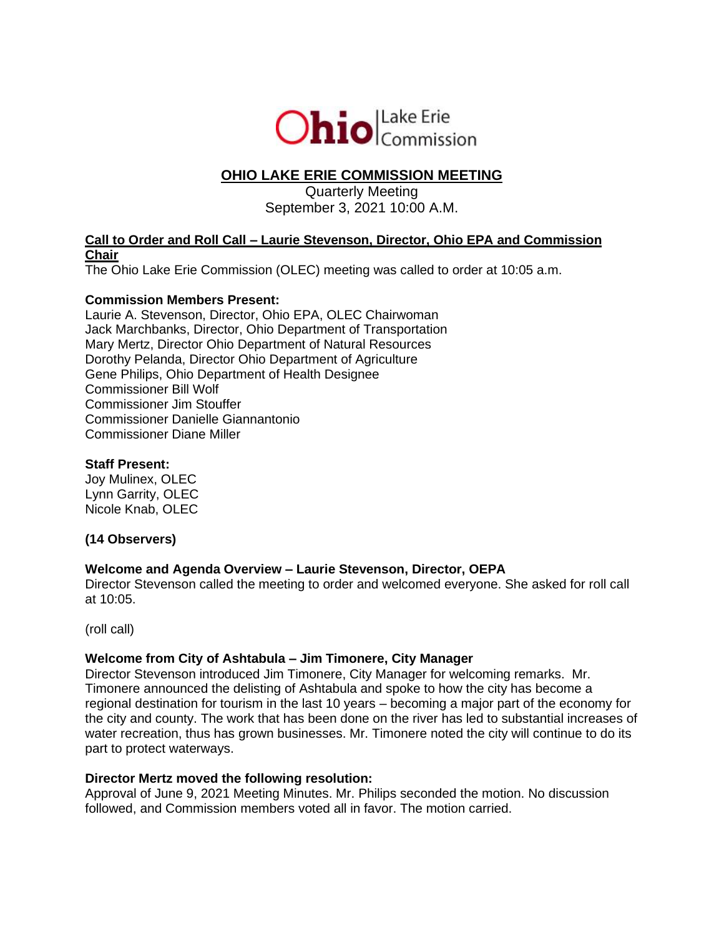

# **OHIO LAKE ERIE COMMISSION MEETING**

# Quarterly Meeting September 3, 2021 10:00 A.M.

# **Call to Order and Roll Call – Laurie Stevenson, Director, Ohio EPA and Commission Chair**

The Ohio Lake Erie Commission (OLEC) meeting was called to order at 10:05 a.m.

# **Commission Members Present:**

Laurie A. Stevenson, Director, Ohio EPA, OLEC Chairwoman Jack Marchbanks, Director, Ohio Department of Transportation Mary Mertz, Director Ohio Department of Natural Resources Dorothy Pelanda, Director Ohio Department of Agriculture Gene Philips, Ohio Department of Health Designee Commissioner Bill Wolf Commissioner Jim Stouffer Commissioner Danielle Giannantonio Commissioner Diane Miller

# **Staff Present:**

Joy Mulinex, OLEC Lynn Garrity, OLEC Nicole Knab, OLEC

# **(14 Observers)**

# **Welcome and Agenda Overview – Laurie Stevenson, Director, OEPA**

Director Stevenson called the meeting to order and welcomed everyone. She asked for roll call at 10:05.

(roll call)

# **Welcome from City of Ashtabula – Jim Timonere, City Manager**

Director Stevenson introduced Jim Timonere, City Manager for welcoming remarks. Mr. Timonere announced the delisting of Ashtabula and spoke to how the city has become a regional destination for tourism in the last 10 years – becoming a major part of the economy for the city and county. The work that has been done on the river has led to substantial increases of water recreation, thus has grown businesses. Mr. Timonere noted the city will continue to do its part to protect waterways.

### **Director Mertz moved the following resolution:**

Approval of June 9, 2021 Meeting Minutes. Mr. Philips seconded the motion. No discussion followed, and Commission members voted all in favor. The motion carried.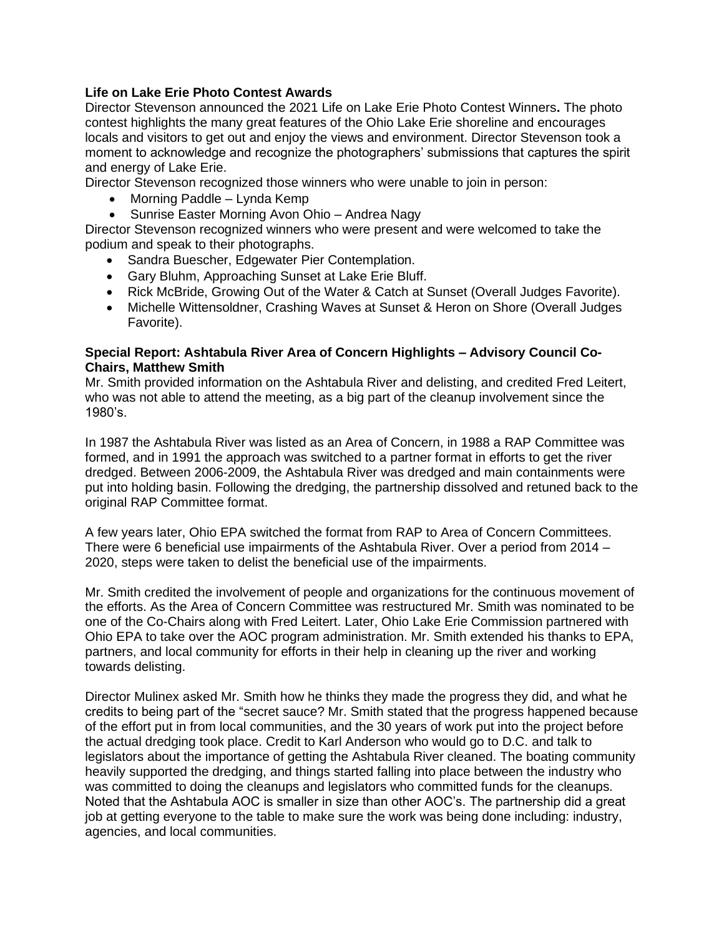# **Life on Lake Erie Photo Contest Awards**

Director Stevenson announced the 2021 Life on Lake Erie Photo Contest Winners**.** The photo contest highlights the many great features of the Ohio Lake Erie shoreline and encourages locals and visitors to get out and enjoy the views and environment. Director Stevenson took a moment to acknowledge and recognize the photographers' submissions that captures the spirit and energy of Lake Erie.

Director Stevenson recognized those winners who were unable to join in person:

- Morning Paddle Lynda Kemp
- Sunrise Easter Morning Avon Ohio Andrea Nagy

Director Stevenson recognized winners who were present and were welcomed to take the podium and speak to their photographs.

- Sandra Buescher, Edgewater Pier Contemplation.
- Gary Bluhm, Approaching Sunset at Lake Erie Bluff.
- Rick McBride, Growing Out of the Water & Catch at Sunset (Overall Judges Favorite).
- Michelle Wittensoldner, Crashing Waves at Sunset & Heron on Shore (Overall Judges Favorite).

### **Special Report: Ashtabula River Area of Concern Highlights – Advisory Council Co-Chairs, Matthew Smith**

Mr. Smith provided information on the Ashtabula River and delisting, and credited Fred Leitert, who was not able to attend the meeting, as a big part of the cleanup involvement since the 1980's.

In 1987 the Ashtabula River was listed as an Area of Concern, in 1988 a RAP Committee was formed, and in 1991 the approach was switched to a partner format in efforts to get the river dredged. Between 2006-2009, the Ashtabula River was dredged and main containments were put into holding basin. Following the dredging, the partnership dissolved and retuned back to the original RAP Committee format.

A few years later, Ohio EPA switched the format from RAP to Area of Concern Committees. There were 6 beneficial use impairments of the Ashtabula River. Over a period from 2014 – 2020, steps were taken to delist the beneficial use of the impairments.

Mr. Smith credited the involvement of people and organizations for the continuous movement of the efforts. As the Area of Concern Committee was restructured Mr. Smith was nominated to be one of the Co-Chairs along with Fred Leitert. Later, Ohio Lake Erie Commission partnered with Ohio EPA to take over the AOC program administration. Mr. Smith extended his thanks to EPA, partners, and local community for efforts in their help in cleaning up the river and working towards delisting.

Director Mulinex asked Mr. Smith how he thinks they made the progress they did, and what he credits to being part of the "secret sauce? Mr. Smith stated that the progress happened because of the effort put in from local communities, and the 30 years of work put into the project before the actual dredging took place. Credit to Karl Anderson who would go to D.C. and talk to legislators about the importance of getting the Ashtabula River cleaned. The boating community heavily supported the dredging, and things started falling into place between the industry who was committed to doing the cleanups and legislators who committed funds for the cleanups. Noted that the Ashtabula AOC is smaller in size than other AOC's. The partnership did a great job at getting everyone to the table to make sure the work was being done including: industry, agencies, and local communities.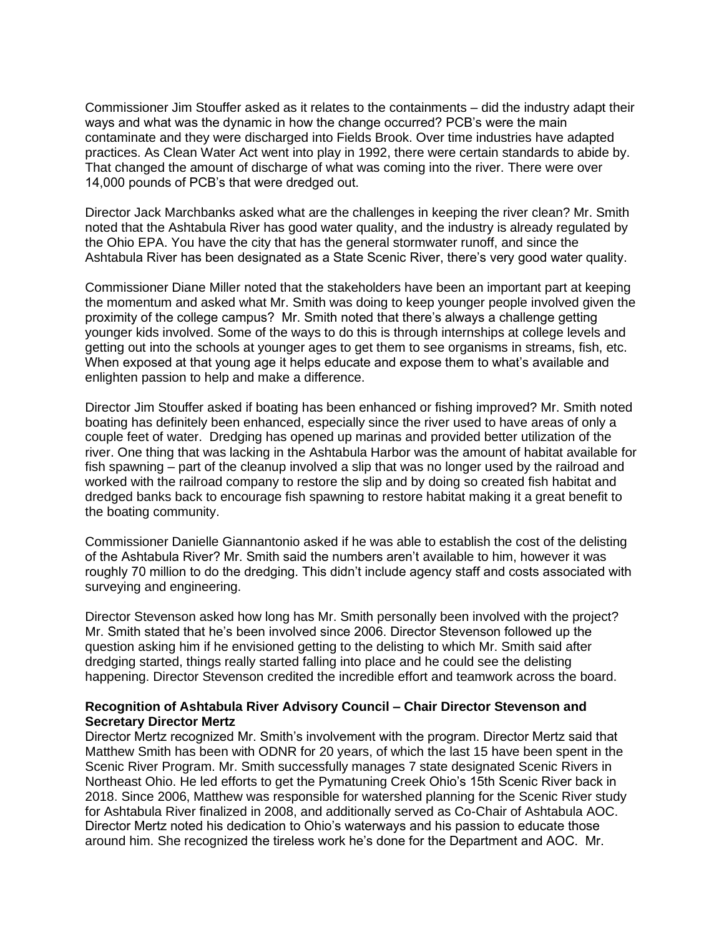Commissioner Jim Stouffer asked as it relates to the containments – did the industry adapt their ways and what was the dynamic in how the change occurred? PCB's were the main contaminate and they were discharged into Fields Brook. Over time industries have adapted practices. As Clean Water Act went into play in 1992, there were certain standards to abide by. That changed the amount of discharge of what was coming into the river. There were over 14,000 pounds of PCB's that were dredged out.

Director Jack Marchbanks asked what are the challenges in keeping the river clean? Mr. Smith noted that the Ashtabula River has good water quality, and the industry is already regulated by the Ohio EPA. You have the city that has the general stormwater runoff, and since the Ashtabula River has been designated as a State Scenic River, there's very good water quality.

Commissioner Diane Miller noted that the stakeholders have been an important part at keeping the momentum and asked what Mr. Smith was doing to keep younger people involved given the proximity of the college campus? Mr. Smith noted that there's always a challenge getting younger kids involved. Some of the ways to do this is through internships at college levels and getting out into the schools at younger ages to get them to see organisms in streams, fish, etc. When exposed at that young age it helps educate and expose them to what's available and enlighten passion to help and make a difference.

Director Jim Stouffer asked if boating has been enhanced or fishing improved? Mr. Smith noted boating has definitely been enhanced, especially since the river used to have areas of only a couple feet of water. Dredging has opened up marinas and provided better utilization of the river. One thing that was lacking in the Ashtabula Harbor was the amount of habitat available for fish spawning – part of the cleanup involved a slip that was no longer used by the railroad and worked with the railroad company to restore the slip and by doing so created fish habitat and dredged banks back to encourage fish spawning to restore habitat making it a great benefit to the boating community.

Commissioner Danielle Giannantonio asked if he was able to establish the cost of the delisting of the Ashtabula River? Mr. Smith said the numbers aren't available to him, however it was roughly 70 million to do the dredging. This didn't include agency staff and costs associated with surveying and engineering.

Director Stevenson asked how long has Mr. Smith personally been involved with the project? Mr. Smith stated that he's been involved since 2006. Director Stevenson followed up the question asking him if he envisioned getting to the delisting to which Mr. Smith said after dredging started, things really started falling into place and he could see the delisting happening. Director Stevenson credited the incredible effort and teamwork across the board.

### **Recognition of Ashtabula River Advisory Council – Chair Director Stevenson and Secretary Director Mertz**

Director Mertz recognized Mr. Smith's involvement with the program. Director Mertz said that Matthew Smith has been with ODNR for 20 years, of which the last 15 have been spent in the Scenic River Program. Mr. Smith successfully manages 7 state designated Scenic Rivers in Northeast Ohio. He led efforts to get the Pymatuning Creek Ohio's 15th Scenic River back in 2018. Since 2006, Matthew was responsible for watershed planning for the Scenic River study for Ashtabula River finalized in 2008, and additionally served as Co-Chair of Ashtabula AOC. Director Mertz noted his dedication to Ohio's waterways and his passion to educate those around him. She recognized the tireless work he's done for the Department and AOC. Mr.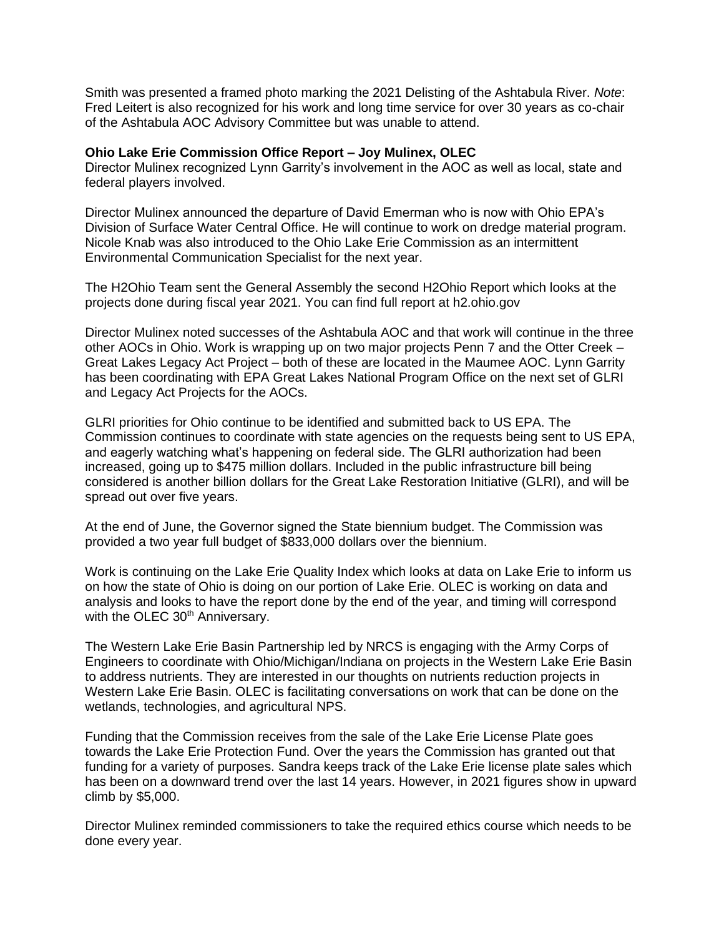Smith was presented a framed photo marking the 2021 Delisting of the Ashtabula River. *Note*: Fred Leitert is also recognized for his work and long time service for over 30 years as co-chair of the Ashtabula AOC Advisory Committee but was unable to attend.

#### **Ohio Lake Erie Commission Office Report – Joy Mulinex, OLEC**

Director Mulinex recognized Lynn Garrity's involvement in the AOC as well as local, state and federal players involved.

Director Mulinex announced the departure of David Emerman who is now with Ohio EPA's Division of Surface Water Central Office. He will continue to work on dredge material program. Nicole Knab was also introduced to the Ohio Lake Erie Commission as an intermittent Environmental Communication Specialist for the next year.

The H2Ohio Team sent the General Assembly the second H2Ohio Report which looks at the projects done during fiscal year 2021. You can find full report at h2.ohio.gov

Director Mulinex noted successes of the Ashtabula AOC and that work will continue in the three other AOCs in Ohio. Work is wrapping up on two major projects Penn 7 and the Otter Creek – Great Lakes Legacy Act Project – both of these are located in the Maumee AOC. Lynn Garrity has been coordinating with EPA Great Lakes National Program Office on the next set of GLRI and Legacy Act Projects for the AOCs.

GLRI priorities for Ohio continue to be identified and submitted back to US EPA. The Commission continues to coordinate with state agencies on the requests being sent to US EPA, and eagerly watching what's happening on federal side. The GLRI authorization had been increased, going up to \$475 million dollars. Included in the public infrastructure bill being considered is another billion dollars for the Great Lake Restoration Initiative (GLRI), and will be spread out over five years.

At the end of June, the Governor signed the State biennium budget. The Commission was provided a two year full budget of \$833,000 dollars over the biennium.

Work is continuing on the Lake Erie Quality Index which looks at data on Lake Erie to inform us on how the state of Ohio is doing on our portion of Lake Erie. OLEC is working on data and analysis and looks to have the report done by the end of the year, and timing will correspond with the OLEC 30<sup>th</sup> Anniversary.

The Western Lake Erie Basin Partnership led by NRCS is engaging with the Army Corps of Engineers to coordinate with Ohio/Michigan/Indiana on projects in the Western Lake Erie Basin to address nutrients. They are interested in our thoughts on nutrients reduction projects in Western Lake Erie Basin. OLEC is facilitating conversations on work that can be done on the wetlands, technologies, and agricultural NPS.

Funding that the Commission receives from the sale of the Lake Erie License Plate goes towards the Lake Erie Protection Fund. Over the years the Commission has granted out that funding for a variety of purposes. Sandra keeps track of the Lake Erie license plate sales which has been on a downward trend over the last 14 years. However, in 2021 figures show in upward climb by \$5,000.

Director Mulinex reminded commissioners to take the required ethics course which needs to be done every year.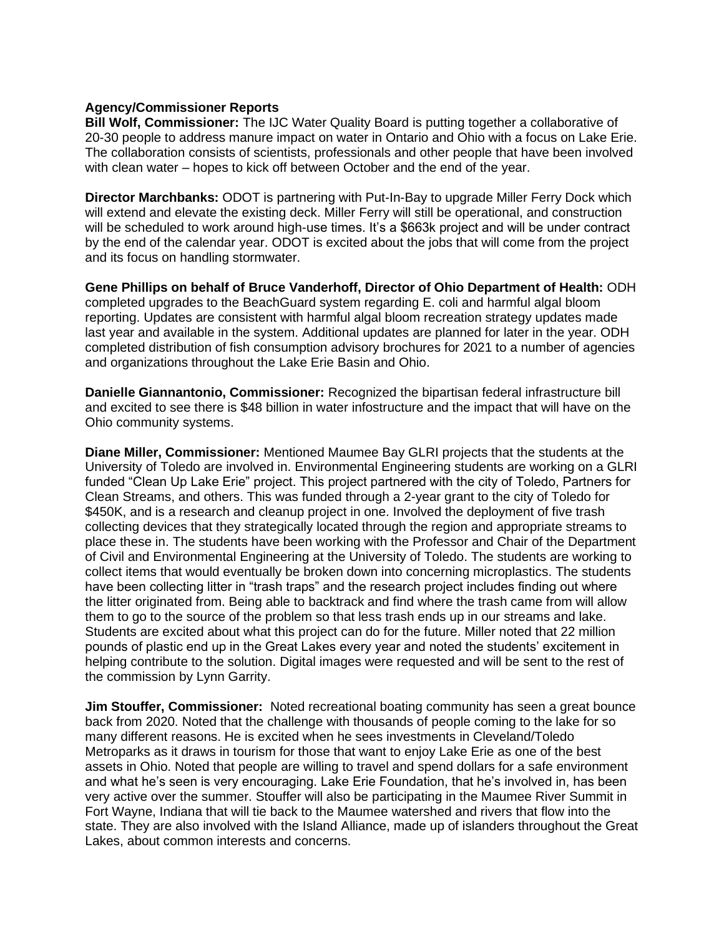### **Agency/Commissioner Reports**

**Bill Wolf, Commissioner:** The IJC Water Quality Board is putting together a collaborative of 20-30 people to address manure impact on water in Ontario and Ohio with a focus on Lake Erie. The collaboration consists of scientists, professionals and other people that have been involved with clean water – hopes to kick off between October and the end of the year.

**Director Marchbanks:** ODOT is partnering with Put-In-Bay to upgrade Miller Ferry Dock which will extend and elevate the existing deck. Miller Ferry will still be operational, and construction will be scheduled to work around high-use times. It's a \$663k project and will be under contract by the end of the calendar year. ODOT is excited about the jobs that will come from the project and its focus on handling stormwater.

**Gene Phillips on behalf of Bruce Vanderhoff, Director of Ohio Department of Health:** ODH completed upgrades to the BeachGuard system regarding E. coli and harmful algal bloom reporting. Updates are consistent with harmful algal bloom recreation strategy updates made last year and available in the system. Additional updates are planned for later in the year. ODH completed distribution of fish consumption advisory brochures for 2021 to a number of agencies and organizations throughout the Lake Erie Basin and Ohio.

**Danielle Giannantonio, Commissioner:** Recognized the bipartisan federal infrastructure bill and excited to see there is \$48 billion in water infostructure and the impact that will have on the Ohio community systems.

**Diane Miller, Commissioner:** Mentioned Maumee Bay GLRI projects that the students at the University of Toledo are involved in. Environmental Engineering students are working on a GLRI funded "Clean Up Lake Erie" project. This project partnered with the city of Toledo, Partners for Clean Streams, and others. This was funded through a 2-year grant to the city of Toledo for \$450K, and is a research and cleanup project in one. Involved the deployment of five trash collecting devices that they strategically located through the region and appropriate streams to place these in. The students have been working with the Professor and Chair of the Department of Civil and Environmental Engineering at the University of Toledo. The students are working to collect items that would eventually be broken down into concerning microplastics. The students have been collecting litter in "trash traps" and the research project includes finding out where the litter originated from. Being able to backtrack and find where the trash came from will allow them to go to the source of the problem so that less trash ends up in our streams and lake. Students are excited about what this project can do for the future. Miller noted that 22 million pounds of plastic end up in the Great Lakes every year and noted the students' excitement in helping contribute to the solution. Digital images were requested and will be sent to the rest of the commission by Lynn Garrity.

**Jim Stouffer, Commissioner:** Noted recreational boating community has seen a great bounce back from 2020. Noted that the challenge with thousands of people coming to the lake for so many different reasons. He is excited when he sees investments in Cleveland/Toledo Metroparks as it draws in tourism for those that want to enjoy Lake Erie as one of the best assets in Ohio. Noted that people are willing to travel and spend dollars for a safe environment and what he's seen is very encouraging. Lake Erie Foundation, that he's involved in, has been very active over the summer. Stouffer will also be participating in the Maumee River Summit in Fort Wayne, Indiana that will tie back to the Maumee watershed and rivers that flow into the state. They are also involved with the Island Alliance, made up of islanders throughout the Great Lakes, about common interests and concerns.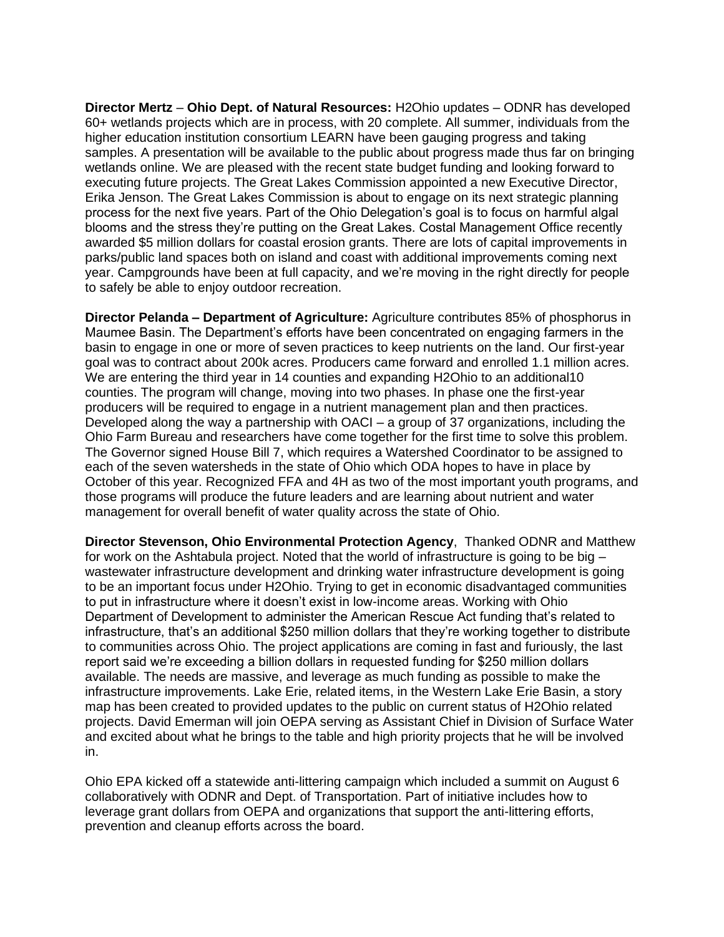**Director Mertz** – **Ohio Dept. of Natural Resources:** H2Ohio updates – ODNR has developed 60+ wetlands projects which are in process, with 20 complete. All summer, individuals from the higher education institution consortium LEARN have been gauging progress and taking samples. A presentation will be available to the public about progress made thus far on bringing wetlands online. We are pleased with the recent state budget funding and looking forward to executing future projects. The Great Lakes Commission appointed a new Executive Director, Erika Jenson. The Great Lakes Commission is about to engage on its next strategic planning process for the next five years. Part of the Ohio Delegation's goal is to focus on harmful algal blooms and the stress they're putting on the Great Lakes. Costal Management Office recently awarded \$5 million dollars for coastal erosion grants. There are lots of capital improvements in parks/public land spaces both on island and coast with additional improvements coming next year. Campgrounds have been at full capacity, and we're moving in the right directly for people to safely be able to enjoy outdoor recreation.

**Director Pelanda – Department of Agriculture:** Agriculture contributes 85% of phosphorus in Maumee Basin. The Department's efforts have been concentrated on engaging farmers in the basin to engage in one or more of seven practices to keep nutrients on the land. Our first-year goal was to contract about 200k acres. Producers came forward and enrolled 1.1 million acres. We are entering the third year in 14 counties and expanding H2Ohio to an additional10 counties. The program will change, moving into two phases. In phase one the first-year producers will be required to engage in a nutrient management plan and then practices. Developed along the way a partnership with OACI – a group of 37 organizations, including the Ohio Farm Bureau and researchers have come together for the first time to solve this problem. The Governor signed House Bill 7, which requires a Watershed Coordinator to be assigned to each of the seven watersheds in the state of Ohio which ODA hopes to have in place by October of this year. Recognized FFA and 4H as two of the most important youth programs, and those programs will produce the future leaders and are learning about nutrient and water management for overall benefit of water quality across the state of Ohio.

**Director Stevenson, Ohio Environmental Protection Agency**, Thanked ODNR and Matthew for work on the Ashtabula project. Noted that the world of infrastructure is going to be big – wastewater infrastructure development and drinking water infrastructure development is going to be an important focus under H2Ohio. Trying to get in economic disadvantaged communities to put in infrastructure where it doesn't exist in low-income areas. Working with Ohio Department of Development to administer the American Rescue Act funding that's related to infrastructure, that's an additional \$250 million dollars that they're working together to distribute to communities across Ohio. The project applications are coming in fast and furiously, the last report said we're exceeding a billion dollars in requested funding for \$250 million dollars available. The needs are massive, and leverage as much funding as possible to make the infrastructure improvements. Lake Erie, related items, in the Western Lake Erie Basin, a story map has been created to provided updates to the public on current status of H2Ohio related projects. David Emerman will join OEPA serving as Assistant Chief in Division of Surface Water and excited about what he brings to the table and high priority projects that he will be involved in.

Ohio EPA kicked off a statewide anti-littering campaign which included a summit on August 6 collaboratively with ODNR and Dept. of Transportation. Part of initiative includes how to leverage grant dollars from OEPA and organizations that support the anti-littering efforts, prevention and cleanup efforts across the board.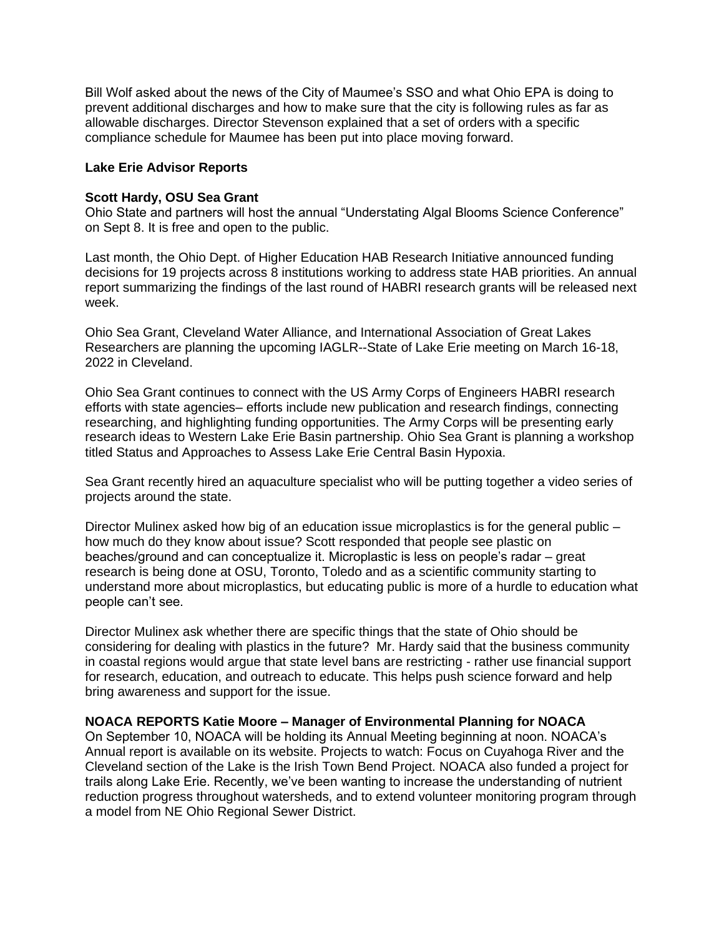Bill Wolf asked about the news of the City of Maumee's SSO and what Ohio EPA is doing to prevent additional discharges and how to make sure that the city is following rules as far as allowable discharges. Director Stevenson explained that a set of orders with a specific compliance schedule for Maumee has been put into place moving forward.

### **Lake Erie Advisor Reports**

### **Scott Hardy, OSU Sea Grant**

Ohio State and partners will host the annual "Understating Algal Blooms Science Conference" on Sept 8. It is free and open to the public.

Last month, the Ohio Dept. of Higher Education HAB Research Initiative announced funding decisions for 19 projects across 8 institutions working to address state HAB priorities. An annual report summarizing the findings of the last round of HABRI research grants will be released next week.

Ohio Sea Grant, Cleveland Water Alliance, and International Association of Great Lakes Researchers are planning the upcoming IAGLR--State of Lake Erie meeting on March 16-18, 2022 in Cleveland.

Ohio Sea Grant continues to connect with the US Army Corps of Engineers HABRI research efforts with state agencies– efforts include new publication and research findings, connecting researching, and highlighting funding opportunities. The Army Corps will be presenting early research ideas to Western Lake Erie Basin partnership. Ohio Sea Grant is planning a workshop titled Status and Approaches to Assess Lake Erie Central Basin Hypoxia.

Sea Grant recently hired an aquaculture specialist who will be putting together a video series of projects around the state.

Director Mulinex asked how big of an education issue microplastics is for the general public – how much do they know about issue? Scott responded that people see plastic on beaches/ground and can conceptualize it. Microplastic is less on people's radar – great research is being done at OSU, Toronto, Toledo and as a scientific community starting to understand more about microplastics, but educating public is more of a hurdle to education what people can't see.

Director Mulinex ask whether there are specific things that the state of Ohio should be considering for dealing with plastics in the future? Mr. Hardy said that the business community in coastal regions would argue that state level bans are restricting - rather use financial support for research, education, and outreach to educate. This helps push science forward and help bring awareness and support for the issue.

### **NOACA REPORTS Katie Moore – Manager of Environmental Planning for NOACA**

On September 10, NOACA will be holding its Annual Meeting beginning at noon. NOACA's Annual report is available on its website. Projects to watch: Focus on Cuyahoga River and the Cleveland section of the Lake is the Irish Town Bend Project. NOACA also funded a project for trails along Lake Erie. Recently, we've been wanting to increase the understanding of nutrient reduction progress throughout watersheds, and to extend volunteer monitoring program through a model from NE Ohio Regional Sewer District.